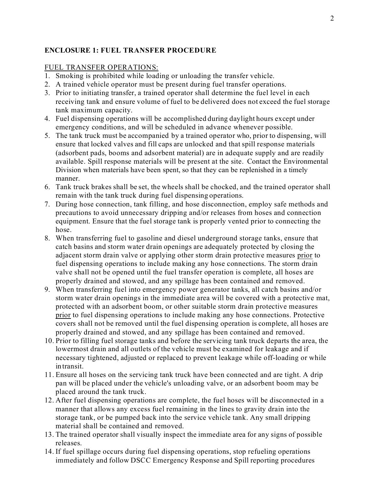### **ENCLOSURE 1: FUEL TRANSFER PROCEDURE**

### FUEL TRANSFER OPERATIONS:

- 1. Smoking is prohibited while loading or unloading the transfer vehicle.
- 2. A trained vehicle operator must be present during fuel transfer operations.
- 3. Prior to initiating transfer, a trained operator shall determine the fuel level in each receiving tank and ensure volume of fuel to be delivered does not exceed the fuel storage tank maximum capacity.
- 4. Fuel dispensing operations will be accomplished during daylight hours except under emergency conditions, and will be scheduled in advance whenever possible.
- 5. The tank truck must be accompanied by a trained operator who, prior to dispensing, will ensure that locked valves and fill caps are unlocked and that spill response materials (adsorbent pads, booms and adsorbent material) are in adequate supply and are readily available. Spill response materials will be present at the site. Contact the Environmental Division when materials have been spent, so that they can be replenished in a timely manner.
- 6. Tank truck brakes shall be set, the wheels shall be chocked, and the trained operator shall remain with the tank truck during fuel dispensing operations.
- 7. During hose connection, tank filling, and hose disconnection, employ safe methods and precautions to avoid unnecessary dripping and/or releases from hoses and connection equipment. Ensure that the fuel storage tank is properly vented prior to connecting the hose.
- 8. When transferring fuel to gasoline and diesel underground storage tanks, ensure that catch basins and storm water drain openings are adequately protected by closing the adjacent storm drain valve or applying other storm drain protective measures prior to fuel dispensing operations to include making any hose connections. The storm drain valve shall not be opened until the fuel transfer operation is complete, all hoses are properly drained and stowed, and any spillage has been contained and removed.
- 9. When transferring fuel into emergency power generator tanks, all catch basins and/or storm water drain openings in the immediate area will be covered with a protective mat, protected with an adsorbent boom, or other suitable storm drain protective measures prior to fuel dispensing operations to include making any hose connections. Protective covers shall not be removed until the fuel dispensing operation is complete, all hoses are properly drained and stowed, and any spillage has been contained and removed.
- 10. Prior to filling fuel storage tanks and before the servicing tank truck departs the area, the lowermost drain and all outlets of the vehicle must be examined for leakage and if necessary tightened, adjusted or replaced to prevent leakage while off-loading or while in transit.
- 11. Ensure all hoses on the servicing tank truck have been connected and are tight. A drip pan will be placed under the vehicle's unloading valve, or an adsorbent boom may be placed around the tank truck.
- 12. After fuel dispensing operations are complete, the fuel hoses will be disconnected in a manner that allows any excess fuel remaining in the lines to gravity drain into the storage tank, or be pumped back into the service vehicle tank. Any small dripping material shall be contained and removed.
- 13. The trained operator shall visually inspect the immediate area for any signs of possible releases.
- 14. If fuel spillage occurs during fuel dispensing operations, stop refueling operations immediately and follow DSCC Emergency Response and Spill reporting procedures